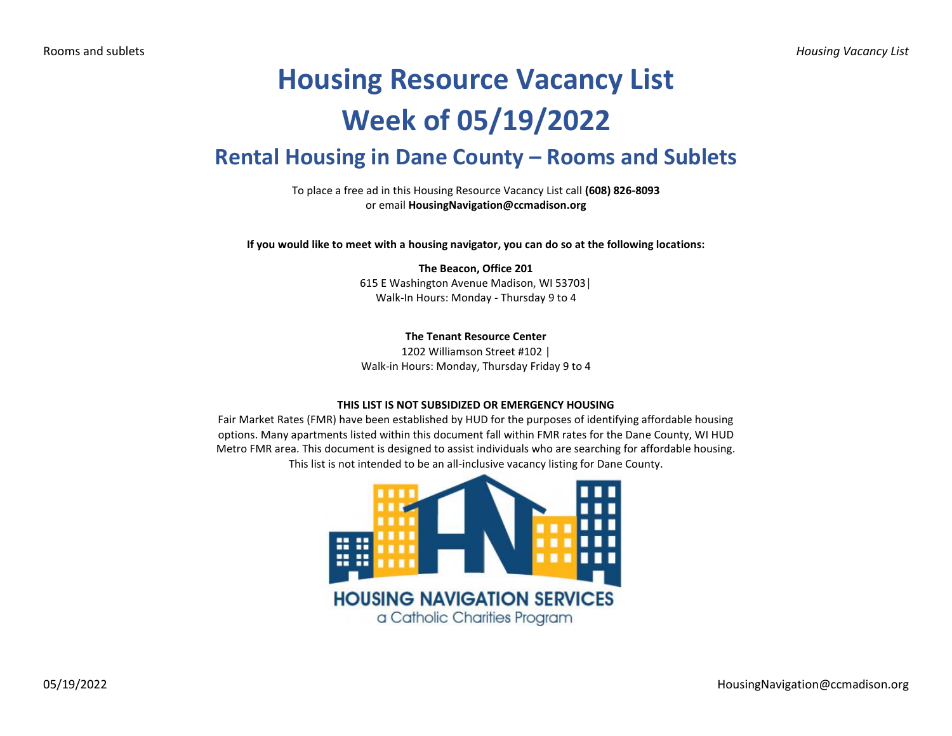# **Housing Resource Vacancy List Week of 05/19/2022**

## **Rental Housing in Dane County – Rooms and Sublets**

To place a free ad in this Housing Resource Vacancy List call **(608) 826-8093** or email **HousingNavigation@ccmadison.org**

**If you would like to meet with a housing navigator, you can do so at the following locations:**

#### **The Beacon, Office 201** 615 E Washington Avenue Madison, WI 53703│ Walk-In Hours: Monday - Thursday 9 to 4

**The Tenant Resource Center**

1202 Williamson Street #102 | Walk-in Hours: Monday, Thursday Friday 9 to 4

#### **THIS LIST IS NOT SUBSIDIZED OR EMERGENCY HOUSING**

Fair Market Rates (FMR) have been established by HUD for the purposes of identifying affordable housing options. Many apartments listed within this document fall within FMR rates for the Dane County, WI HUD Metro FMR area. This document is designed to assist individuals who are searching for affordable housing. This list is not intended to be an all-inclusive vacancy listing for Dane County.

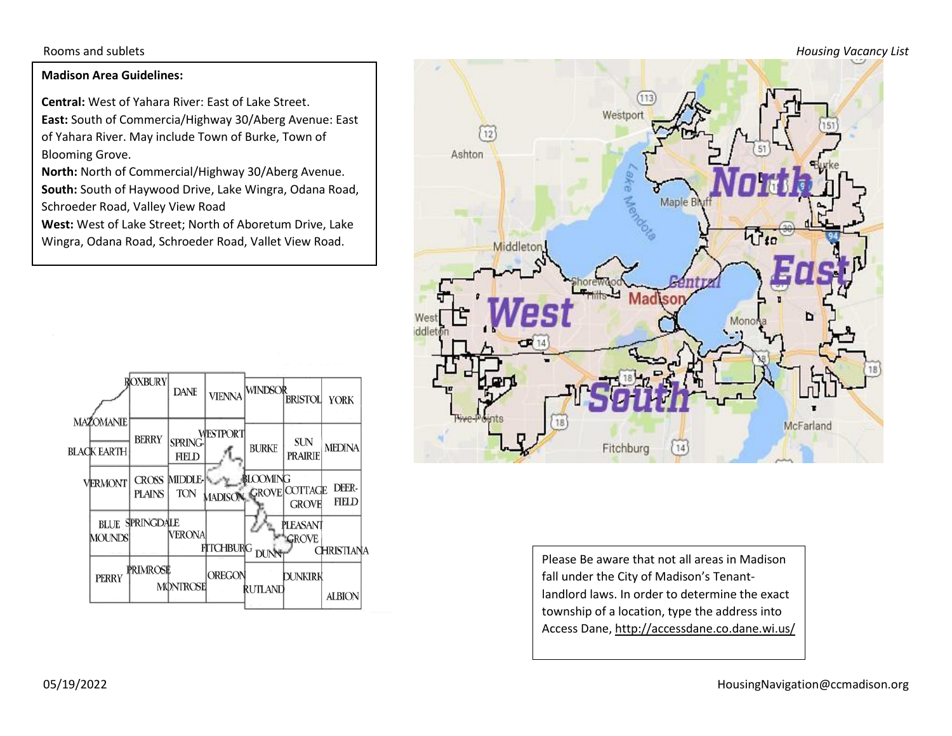Rooms and sublets *Housing Vacancy List*

### **Madison Area Guidelines:**

**Central:** West of Yahara River: East of Lake Street. **East:** South of Commercia/Highway 30/Aberg Avenue: East of Yahara River. May include Town of Burke, Town of Blooming Grove.

**North:** North of Commercial/Highway 30/Aberg Avenue. **South:** South of Haywood Drive, Lake Wingra, Odana Road, Schroeder Road, Valley View Road

**West:** West of Lake Street; North of Aboretum Drive, Lake Wingra, Odana Road, Schroeder Road, Vallet View Road.





Please Be aware that not all areas in Madison fall under the City of Madison's Tenantlandlord laws. In order to determine the exact township of a location, type the address into Access Dane, http://accessdane.co.dane.wi.us/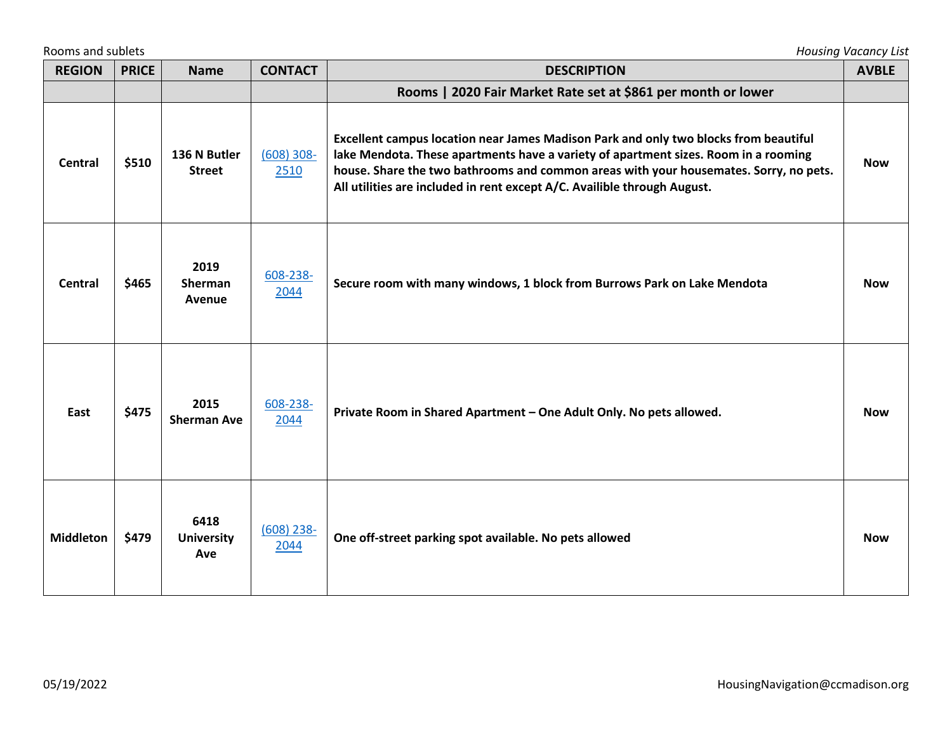|                  | Rooms and sublets<br><b>Housing Vacancy List</b> |                                  |                      |                                                                                                                                                                                                                                                                                                                                                  |              |  |  |
|------------------|--------------------------------------------------|----------------------------------|----------------------|--------------------------------------------------------------------------------------------------------------------------------------------------------------------------------------------------------------------------------------------------------------------------------------------------------------------------------------------------|--------------|--|--|
| <b>REGION</b>    | <b>PRICE</b>                                     | <b>Name</b>                      | <b>CONTACT</b>       | <b>DESCRIPTION</b>                                                                                                                                                                                                                                                                                                                               | <b>AVBLE</b> |  |  |
|                  |                                                  |                                  |                      | Rooms   2020 Fair Market Rate set at \$861 per month or lower                                                                                                                                                                                                                                                                                    |              |  |  |
| <b>Central</b>   | \$510                                            | 136 N Butler<br><b>Street</b>    | $(608)$ 308-<br>2510 | Excellent campus location near James Madison Park and only two blocks from beautiful<br>lake Mendota. These apartments have a variety of apartment sizes. Room in a rooming<br>house. Share the two bathrooms and common areas with your housemates. Sorry, no pets.<br>All utilities are included in rent except A/C. Availible through August. | <b>Now</b>   |  |  |
| <b>Central</b>   | \$465                                            | 2019<br>Sherman<br>Avenue        | 608-238-<br>2044     | Secure room with many windows, 1 block from Burrows Park on Lake Mendota                                                                                                                                                                                                                                                                         | <b>Now</b>   |  |  |
| East             | \$475                                            | 2015<br><b>Sherman Ave</b>       | 608-238-<br>2044     | Private Room in Shared Apartment - One Adult Only. No pets allowed.                                                                                                                                                                                                                                                                              | <b>Now</b>   |  |  |
| <b>Middleton</b> | \$479                                            | 6418<br><b>University</b><br>Ave | $(608)$ 238-<br>2044 | One off-street parking spot available. No pets allowed                                                                                                                                                                                                                                                                                           | <b>Now</b>   |  |  |